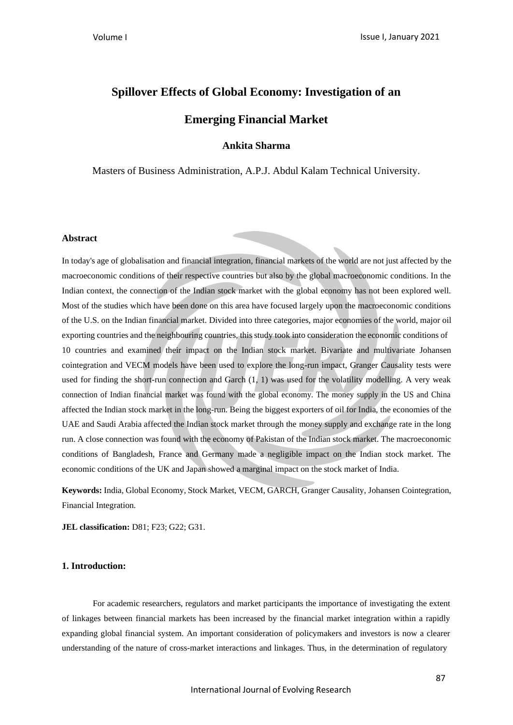# **Spillover Effects of Global Economy: Investigation of an**

# **Emerging Financial Market**

# **Ankita Sharma**

Masters of Business Administration, A.P.J. Abdul Kalam Technical University.

## **Abstract**

In today's age of globalisation and financial integration, financial markets of the world are not just affected by the macroeconomic conditions of their respective countries but also by the global macroeconomic conditions. In the Indian context, the connection of the Indian stock market with the global economy has not been explored well. Most of the studies which have been done on this area have focused largely upon the macroeconomic conditions of the U.S. on the Indian financial market. Divided into three categories, major economies of the world, major oil exporting countries and the neighbouring countries, this study took into consideration the economic conditions of 10 countries and examined their impact on the Indian stock market. Bivariate and multivariate Johansen cointegration and VECM models have been used to explore the long-run impact, Granger Causality tests were used for finding the short-run connection and Garch (1, 1) was used for the volatility modelling. A very weak connection of Indian financial market was found with the global economy. The money supply in the US and China affected the Indian stock market in the long-run. Being the biggest exporters of oil for India, the economies of the UAE and Saudi Arabia affected the Indian stock market through the money supply and exchange rate in the long run. A close connection was found with the economy of Pakistan of the Indian stock market. The macroeconomic conditions of Bangladesh, France and Germany made a negligible impact on the Indian stock market. The economic conditions of the UK and Japan showed a marginal impact on the stock market of India.

**Keywords:** India, Global Economy, Stock Market, VECM, GARCH, Granger Causality, Johansen Cointegration, Financial Integration.

**JEL classification:** D81; F23; G22; G31.

## **1. Introduction:**

For academic researchers, regulators and market participants the importance of investigating the extent of linkages between financial markets has been increased by the financial market integration within a rapidly expanding global financial system. An important consideration of policymakers and investors is now a clearer understanding of the nature of cross-market interactions and linkages. Thus, in the determination of regulatory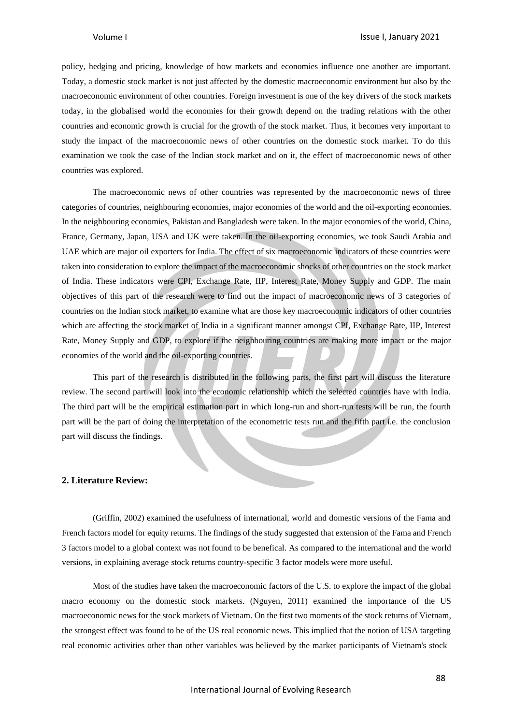policy, hedging and pricing, knowledge of how markets and economies influence one another are important. Today, a domestic stock market is not just affected by the domestic macroeconomic environment but also by the macroeconomic environment of other countries. Foreign investment is one of the key drivers of the stock markets today, in the globalised world the economies for their growth depend on the trading relations with the other countries and economic growth is crucial for the growth of the stock market. Thus, it becomes very important to study the impact of the macroeconomic news of other countries on the domestic stock market. To do this examination we took the case of the Indian stock market and on it, the effect of macroeconomic news of other countries was explored.

The macroeconomic news of other countries was represented by the macroeconomic news of three categories of countries, neighbouring economies, major economies of the world and the oil-exporting economies. In the neighbouring economies, Pakistan and Bangladesh were taken. In the major economies of the world, China, France, Germany, Japan, USA and UK were taken. In the oil-exporting economies, we took Saudi Arabia and UAE which are major oil exporters for India. The effect of six macroeconomic indicators of these countries were taken into consideration to explore the impact of the macroeconomic shocks of other countries on the stock market of India. These indicators were CPI, Exchange Rate, IIP, Interest Rate, Money Supply and GDP. The main objectives of this part of the research were to find out the impact of macroeconomic news of 3 categories of countries on the Indian stock market, to examine what are those key macroeconomic indicators of other countries which are affecting the stock market of India in a significant manner amongst CPI, Exchange Rate, IIP, Interest Rate, Money Supply and GDP, to explore if the neighbouring countries are making more impact or the major economies of the world and the oil-exporting countries.

This part of the research is distributed in the following parts, the first part will discuss the literature review. The second part will look into the economic relationship which the selected countries have with India. The third part will be the empirical estimation part in which long-run and short-run tests will be run, the fourth part will be the part of doing the interpretation of the econometric tests run and the fifth part i.e. the conclusion part will discuss the findings.

### **2. Literature Review:**

(Griffin, 2002) examined the usefulness of international, world and domestic versions of the Fama and French factors model for equity returns. The findings of the study suggested that extension of the Fama and French 3 factors model to a global context was not found to be benefical. As compared to the international and the world versions, in explaining average stock returns country-specific 3 factor models were more useful.

Most of the studies have taken the macroeconomic factors of the U.S. to explore the impact of the global macro economy on the domestic stock markets. (Nguyen, 2011) examined the importance of the US macroeconomic news for the stock markets of Vietnam. On the first two moments of the stock returns of Vietnam, the strongest effect was found to be of the US real economic news. This implied that the notion of USA targeting real economic activities other than other variables was believed by the market participants of Vietnam's stock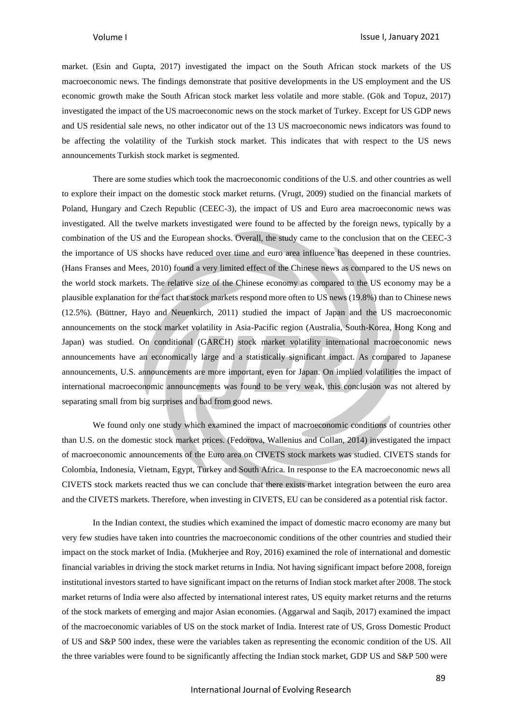market. (Esin and Gupta, 2017) investigated the impact on the South African stock markets of the US macroeconomic news. The findings demonstrate that positive developments in the US employment and the US economic growth make the South African stock market less volatile and more stable. (Gök and Topuz, 2017) investigated the impact of the US macroeconomic news on the stock market of Turkey. Except for US GDP news and US residential sale news, no other indicator out of the 13 US macroeconomic news indicators was found to be affecting the volatility of the Turkish stock market. This indicates that with respect to the US news announcements Turkish stock market is segmented.

There are some studies which took the macroeconomic conditions of the U.S. and other countries as well to explore their impact on the domestic stock market returns. (Vrugt, 2009) studied on the financial markets of Poland, Hungary and Czech Republic (CEEC-3), the impact of US and Euro area macroeconomic news was investigated. All the twelve markets investigated were found to be affected by the foreign news, typically by a combination of the US and the European shocks. Overall, the study came to the conclusion that on the CEEC-3 the importance of US shocks have reduced over time and euro area influence has deepened in these countries. (Hans Franses and Mees, 2010) found a very limited effect of the Chinese news as compared to the US news on the world stock markets. The relative size of the Chinese economy as compared to the US economy may be a plausible explanation for the fact that stock markets respond more often to US news (19.8%) than to Chinese news (12.5%). (Büttner, Hayo and Neuenkirch, 2011) studied the impact of Japan and the US macroeconomic announcements on the stock market volatility in Asia-Pacific region (Australia, South-Korea, Hong Kong and Japan) was studied. On conditional (GARCH) stock market volatility international macroeconomic news announcements have an economically large and a statistically significant impact. As compared to Japanese announcements, U.S. announcements are more important, even for Japan. On implied volatilities the impact of international macroeconomic announcements was found to be very weak, this conclusion was not altered by separating small from big surprises and bad from good news.

We found only one study which examined the impact of macroeconomic conditions of countries other than U.S. on the domestic stock market prices. (Fedorova, Wallenius and Collan, 2014) investigated the impact of macroeconomic announcements of the Euro area on CIVETS stock markets was studied. CIVETS stands for Colombia, Indonesia, Vietnam, Egypt, Turkey and South Africa. In response to the EA macroeconomic news all CIVETS stock markets reacted thus we can conclude that there exists market integration between the euro area and the CIVETS markets. Therefore, when investing in CIVETS, EU can be considered as a potential risk factor.

In the Indian context, the studies which examined the impact of domestic macro economy are many but very few studies have taken into countries the macroeconomic conditions of the other countries and studied their impact on the stock market of India. (Mukherjee and Roy, 2016) examined the role of international and domestic financial variables in driving the stock market returns in India. Not having significant impact before 2008, foreign institutional investors started to have significant impact on the returns of Indian stock market after 2008. The stock market returns of India were also affected by international interest rates, US equity market returns and the returns of the stock markets of emerging and major Asian economies. (Aggarwal and Saqib, 2017) examined the impact of the macroeconomic variables of US on the stock market of India. Interest rate of US, Gross Domestic Product of US and S&P 500 index, these were the variables taken as representing the economic condition of the US. All the three variables were found to be significantly affecting the Indian stock market, GDP US and S&P 500 were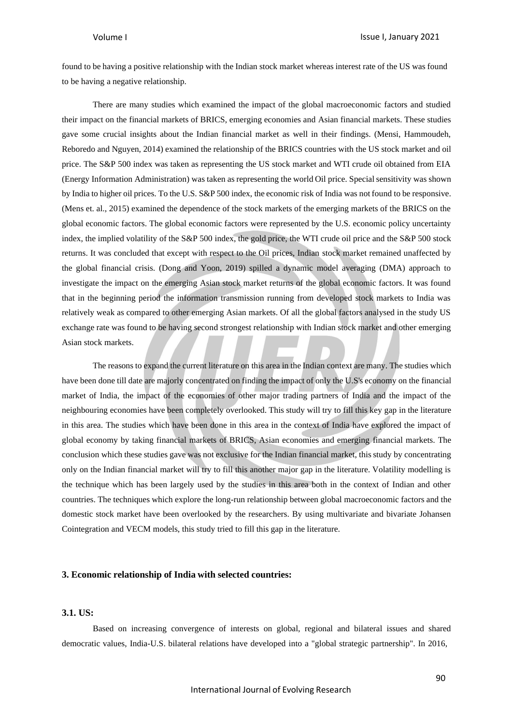found to be having a positive relationship with the Indian stock market whereas interest rate of the US was found to be having a negative relationship.

There are many studies which examined the impact of the global macroeconomic factors and studied their impact on the financial markets of BRICS, emerging economies and Asian financial markets. These studies gave some crucial insights about the Indian financial market as well in their findings. (Mensi, Hammoudeh, Reboredo and Nguyen, 2014) examined the relationship of the BRICS countries with the US stock market and oil price. The S&P 500 index was taken as representing the US stock market and WTI crude oil obtained from EIA (Energy Information Administration) was taken as representing the world Oil price. Special sensitivity was shown by India to higher oil prices. To the U.S. S&P 500 index, the economic risk of India was not found to be responsive. (Mens et. al., 2015) examined the dependence of the stock markets of the emerging markets of the BRICS on the global economic factors. The global economic factors were represented by the U.S. economic policy uncertainty index, the implied volatility of the S&P 500 index, the gold price, the WTI crude oil price and the S&P 500 stock returns. It was concluded that except with respect to the Oil prices, Indian stock market remained unaffected by the global financial crisis. (Dong and Yoon, 2019) spilled a dynamic model averaging (DMA) approach to investigate the impact on the emerging Asian stock market returns of the global economic factors. It was found that in the beginning period the information transmission running from developed stock markets to India was relatively weak as compared to other emerging Asian markets. Of all the global factors analysed in the study US exchange rate was found to be having second strongest relationship with Indian stock market and other emerging Asian stock markets.

The reasons to expand the current literature on this area in the Indian context are many. The studies which have been done till date are majorly concentrated on finding the impact of only the U.S's economy on the financial market of India, the impact of the economies of other major trading partners of India and the impact of the neighbouring economies have been completely overlooked. This study will try to fill this key gap in the literature in this area. The studies which have been done in this area in the context of India have explored the impact of global economy by taking financial markets of BRICS, Asian economies and emerging financial markets. The conclusion which these studies gave was not exclusive for the Indian financial market, thisstudy by concentrating only on the Indian financial market will try to fill this another major gap in the literature. Volatility modelling is the technique which has been largely used by the studies in this area both in the context of Indian and other countries. The techniques which explore the long-run relationship between global macroeconomic factors and the domestic stock market have been overlooked by the researchers. By using multivariate and bivariate Johansen Cointegration and VECM models, this study tried to fill this gap in the literature.

#### **3. Economic relationship of India with selected countries:**

#### **3.1. US:**

Based on increasing convergence of interests on global, regional and bilateral issues and shared democratic values, India-U.S. bilateral relations have developed into a "global strategic partnership". In 2016,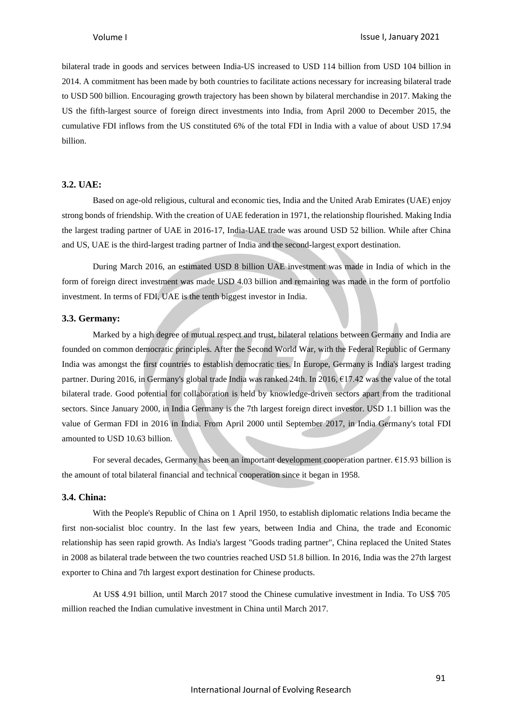bilateral trade in goods and services between India-US increased to USD 114 billion from USD 104 billion in 2014. A commitment has been made by both countries to facilitate actions necessary for increasing bilateral trade to USD 500 billion. Encouraging growth trajectory has been shown by bilateral merchandise in 2017. Making the US the fifth-largest source of foreign direct investments into India, from April 2000 to December 2015, the cumulative FDI inflows from the US constituted 6% of the total FDI in India with a value of about USD 17.94 billion.

#### **3.2. UAE:**

Based on age-old religious, cultural and economic ties, India and the United Arab Emirates (UAE) enjoy strong bonds of friendship. With the creation of UAE federation in 1971, the relationship flourished. Making India the largest trading partner of UAE in 2016-17, India-UAE trade was around USD 52 billion. While after China and US, UAE is the third-largest trading partner of India and the second-largest export destination.

During March 2016, an estimated USD 8 billion UAE investment was made in India of which in the form of foreign direct investment was made USD 4.03 billion and remaining was made in the form of portfolio investment. In terms of FDI, UAE is the tenth biggest investor in India.

### **3.3. Germany:**

Marked by a high degree of mutual respect and trust, bilateral relations between Germany and India are founded on common democratic principles. After the Second World War, with the Federal Republic of Germany India was amongst the first countries to establish democratic ties. In Europe, Germany is India's largest trading partner. During 2016, in Germany's global trade India was ranked 24th. In 2016, €17.42 was the value of the total bilateral trade. Good potential for collaboration is held by knowledge-driven sectors apart from the traditional sectors. Since January 2000, in India Germany is the 7th largest foreign direct investor. USD 1.1 billion was the value of German FDI in 2016 in India. From April 2000 until September 2017, in India Germany's total FDI amounted to USD 10.63 billion.

For several decades, Germany has been an important development cooperation partner. €15.93 billion is the amount of total bilateral financial and technical cooperation since it began in 1958.

#### **3.4. China:**

With the People's Republic of China on 1 April 1950, to establish diplomatic relations India became the first non-socialist bloc country. In the last few years, between India and China, the trade and Economic relationship has seen rapid growth. As India's largest "Goods trading partner", China replaced the United States in 2008 as bilateral trade between the two countries reached USD 51.8 billion. In 2016, India was the 27th largest exporter to China and 7th largest export destination for Chinese products.

At US\$ 4.91 billion, until March 2017 stood the Chinese cumulative investment in India. To US\$ 705 million reached the Indian cumulative investment in China until March 2017.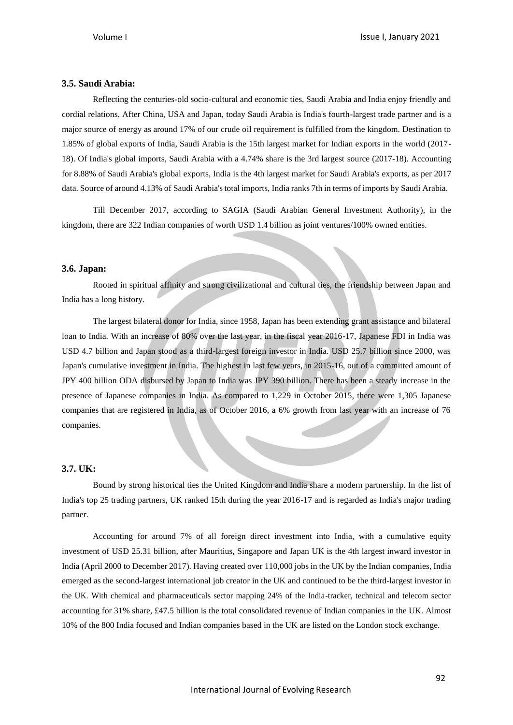### **3.5. Saudi Arabia:**

Reflecting the centuries-old socio-cultural and economic ties, Saudi Arabia and India enjoy friendly and cordial relations. After China, USA and Japan, today Saudi Arabia is India's fourth-largest trade partner and is a major source of energy as around 17% of our crude oil requirement is fulfilled from the kingdom. Destination to 1.85% of global exports of India, Saudi Arabia is the 15th largest market for Indian exports in the world (2017- 18). Of India's global imports, Saudi Arabia with a 4.74% share is the 3rd largest source (2017-18). Accounting for 8.88% of Saudi Arabia's global exports, India is the 4th largest market for Saudi Arabia's exports, as per 2017 data. Source of around 4.13% of Saudi Arabia's total imports, India ranks 7th in terms of imports by Saudi Arabia.

Till December 2017, according to SAGIA (Saudi Arabian General Investment Authority), in the kingdom, there are 322 Indian companies of worth USD 1.4 billion as joint ventures/100% owned entities.

#### **3.6. Japan:**

Rooted in spiritual affinity and strong civilizational and cultural ties, the friendship between Japan and India has a long history.

The largest bilateral donor for India, since 1958, Japan has been extending grant assistance and bilateral loan to India. With an increase of 80% over the last year, in the fiscal year 2016-17, Japanese FDI in India was USD 4.7 billion and Japan stood as a third-largest foreign investor in India. USD 25.7 billion since 2000, was Japan's cumulative investment in India. The highest in last few years, in 2015-16, out of a committed amount of JPY 400 billion ODA disbursed by Japan to India was JPY 390 billion. There has been a steady increase in the presence of Japanese companies in India. As compared to 1,229 in October 2015, there were 1,305 Japanese companies that are registered in India, as of October 2016, a 6% growth from last year with an increase of 76 companies.

## **3.7. UK:**

Bound by strong historical ties the United Kingdom and India share a modern partnership. In the list of India's top 25 trading partners, UK ranked 15th during the year 2016-17 and is regarded as India's major trading partner.

Accounting for around 7% of all foreign direct investment into India, with a cumulative equity investment of USD 25.31 billion, after Mauritius, Singapore and Japan UK is the 4th largest inward investor in India (April 2000 to December 2017). Having created over 110,000 jobs in the UK by the Indian companies, India emerged as the second-largest international job creator in the UK and continued to be the third-largest investor in the UK. With chemical and pharmaceuticals sector mapping 24% of the India-tracker, technical and telecom sector accounting for 31% share, £47.5 billion is the total consolidated revenue of Indian companies in the UK. Almost 10% of the 800 India focused and Indian companies based in the UK are listed on the London stock exchange.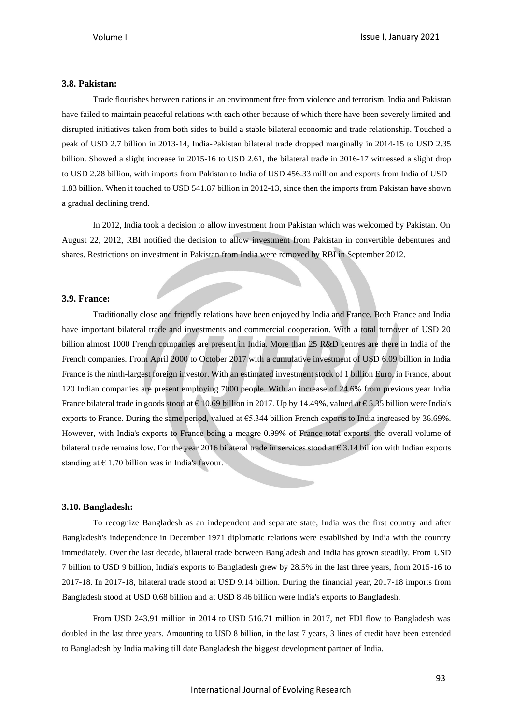# **3.8. Pakistan:**

Trade flourishes between nations in an environment free from violence and terrorism. India and Pakistan have failed to maintain peaceful relations with each other because of which there have been severely limited and disrupted initiatives taken from both sides to build a stable bilateral economic and trade relationship. Touched a peak of USD 2.7 billion in 2013-14, India-Pakistan bilateral trade dropped marginally in 2014-15 to USD 2.35 billion. Showed a slight increase in 2015-16 to USD 2.61, the bilateral trade in 2016-17 witnessed a slight drop to USD 2.28 billion, with imports from Pakistan to India of USD 456.33 million and exports from India of USD 1.83 billion. When it touched to USD 541.87 billion in 2012-13, since then the imports from Pakistan have shown a gradual declining trend.

In 2012, India took a decision to allow investment from Pakistan which was welcomed by Pakistan. On August 22, 2012, RBI notified the decision to allow investment from Pakistan in convertible debentures and shares. Restrictions on investment in Pakistan from India were removed by RBI in September 2012.

#### **3.9. France:**

Traditionally close and friendly relations have been enjoyed by India and France. Both France and India have important bilateral trade and investments and commercial cooperation. With a total turnover of USD 20 billion almost 1000 French companies are present in India. More than 25 R&D centres are there in India of the French companies. From April 2000 to October 2017 with a cumulative investment of USD 6.09 billion in India France is the ninth-largest foreign investor. With an estimated investment stock of 1 billion Euro, in France, about 120 Indian companies are present employing 7000 people. With an increase of 24.6% from previous year India France bilateral trade in goods stood at  $\epsilon$  10.69 billion in 2017. Up by 14.49%, valued at  $\epsilon$  5.35 billion were India's exports to France. During the same period, valued at  $65.344$  billion French exports to India increased by 36.69%. However, with India's exports to France being a meagre 0.99% of France total exports, the overall volume of bilateral trade remains low. For the year 2016 bilateral trade in services stood at  $\epsilon$  3.14 billion with Indian exports standing at  $\epsilon$  1.70 billion was in India's favour.

#### **3.10. Bangladesh:**

To recognize Bangladesh as an independent and separate state, India was the first country and after Bangladesh's independence in December 1971 diplomatic relations were established by India with the country immediately. Over the last decade, bilateral trade between Bangladesh and India has grown steadily. From USD 7 billion to USD 9 billion, India's exports to Bangladesh grew by 28.5% in the last three years, from 2015-16 to 2017-18. In 2017-18, bilateral trade stood at USD 9.14 billion. During the financial year, 2017-18 imports from Bangladesh stood at USD 0.68 billion and at USD 8.46 billion were India's exports to Bangladesh.

From USD 243.91 million in 2014 to USD 516.71 million in 2017, net FDI flow to Bangladesh was doubled in the last three years. Amounting to USD 8 billion, in the last 7 years, 3 lines of credit have been extended to Bangladesh by India making till date Bangladesh the biggest development partner of India.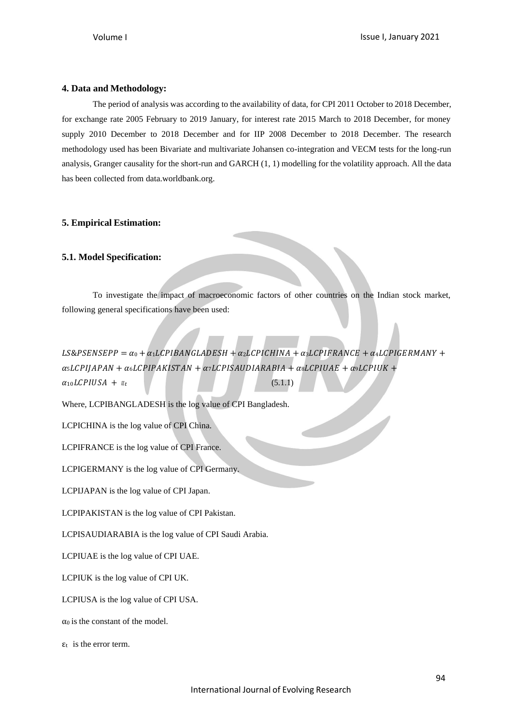# **4. Data and Methodology:**

The period of analysis was according to the availability of data, for CPI 2011 October to 2018 December, for exchange rate 2005 February to 2019 January, for interest rate 2015 March to 2018 December, for money supply 2010 December to 2018 December and for IIP 2008 December to 2018 December. The research methodology used has been Bivariate and multivariate Johansen co-integration and VECM tests for the long-run analysis, Granger causality for the short-run and GARCH (1, 1) modelling for the volatility approach. All the data has been collected from data.worldbank.org.

# **5. Empirical Estimation:**

# **5.1. Model Specification:**

To investigate the impact of macroeconomic factors of other countries on the Indian stock market, following general specifications have been used:

LS&PSENSEPP =  $\alpha_0 + \alpha_1 LCPIBANGLADESH + \alpha_2 LCPICHINA + \alpha_3 LCPIFRANCE + \alpha_4 LCPIGERMANY +$  $\alpha_5 LCPIIAPAN + \alpha_6 LCPIPAKISTAN + \alpha_7 LCPISAUDIARABIA + \alpha_8 LCPIUAE + \alpha_9 LCPIUK +$  $\alpha_{10} LCPIUSA + \epsilon_{t}$  (5.1.1)

Where, LCPIBANGLADESH is the log value of CPI Bangladesh.

LCPICHINA is the log value of CPI China.

LCPIFRANCE is the log value of CPI France.

LCPIGERMANY is the log value of CPI Germany.

LCPIJAPAN is the log value of CPI Japan.

LCPIPAKISTAN is the log value of CPI Pakistan.

LCPISAUDIARABIA is the log value of CPI Saudi Arabia.

LCPIUAE is the log value of CPI UAE.

LCPIUK is the log value of CPI UK.

LCPIUSA is the log value of CPI USA.

 $\alpha_0$  is the constant of the model.

 $\epsilon_t$  is the error term.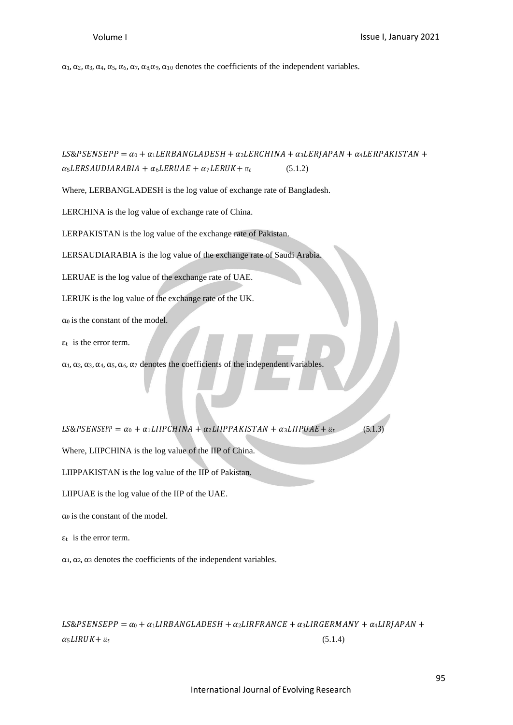α1, α2, α3, α4, α5, α6, α7, α8,α9, α<sup>10</sup> denotes the coefficients of the independent variables.

 $LS\&PSENSEPP = \alpha_0 + \alpha_1 LERBANGLADESH + \alpha_2 LERCHINA + \alpha_3 LERJAPAN + \alpha_4 LERPAKISTAN +$  $\alpha_5 LERSAUDIARABIA + \alpha_6 LERUAE + \alpha_7 LERUK + \epsilon_{tt}$  (5.1.2)

Where, LERBANGLADESH is the log value of exchange rate of Bangladesh.

LERCHINA is the log value of exchange rate of China.

LERPAKISTAN is the log value of the exchange rate of Pakistan.

LERSAUDIARABIA is the log value of the exchange rate of Saudi Arabia.

LERUAE is the log value of the exchange rate of UAE.

LERUK is the log value of the exchange rate of the UK.

 $\alpha_0$  is the constant of the model.

 $\epsilon_t$  is the error term.

 $\alpha_1, \alpha_2, \alpha_3, \alpha_4, \alpha_5, \alpha_6, \alpha_7$  denotes the coefficients of the independent variables.

 $LS\&PSENSEP = \alpha_0 + \alpha_1LIIPCHINA + \alpha_2LIIPPAKISTAN + \alpha_3LIIPUAE + \epsilon_{\ell t}$  (5.1.3)

Where, LIIPCHINA is the log value of the IIP of China.

LIIPPAKISTAN is the log value of the IIP of Pakistan.

LIIPUAE is the log value of the IIP of the UAE.

 $\alpha_0$  is the constant of the model.

 $\epsilon_t$  is the error term.

 $\alpha_1, \alpha_2, \alpha_3$  denotes the coefficients of the independent variables.

 $LS\&PSENSEPP = \alpha_0 + \alpha_1 LIRBANGLADESH + \alpha_2 LIRFRANCE + \alpha_3 LIRGERMANY + \alpha_4 LIRJAPAN +$  $\alpha_5 LIRUK + \varepsilon_{t}$  (5.1.4)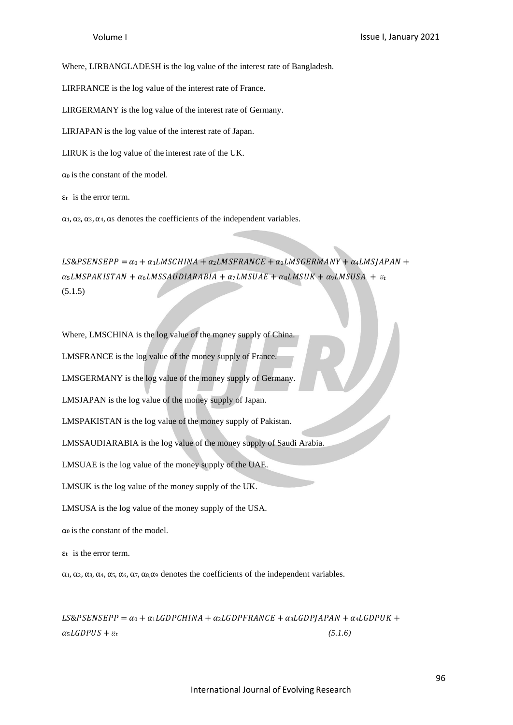Where, LIRBANGLADESH is the log value of the interest rate of Bangladesh.

LIRFRANCE is the log value of the interest rate of France.

LIRGERMANY is the log value of the interest rate of Germany.

LIRJAPAN is the log value of the interest rate of Japan.

LIRUK is the log value of the interest rate of the UK.

 $\alpha_0$  is the constant of the model.

 $\epsilon_t$  is the error term.

 $\alpha_1, \alpha_2, \alpha_3, \alpha_4, \alpha_5$  denotes the coefficients of the independent variables.

 $LS\&PSENSEPP = \alpha_0 + \alpha_1 L M SCHINA + \alpha_2 L M SFRANCE + \alpha_3 L M S GERMANY + \alpha_4 L M S JAPAN +$  $\alpha_5 LMSPAKISTAN + \alpha_6 LMSSAUDIARABIA + \alpha_7 LMSUAE + \alpha_8 LMSUK + \alpha_9 LMSUSA + \epsilon_{\epsilon}$ (5.1.5)

Where, LMSCHINA is the log value of the money supply of China.

LMSFRANCE is the log value of the money supply of France.

LMSGERMANY is the log value of the money supply of Germany.

LMSJAPAN is the log value of the money supply of Japan.

LMSPAKISTAN is the log value of the money supply of Pakistan.

LMSSAUDIARABIA is the log value of the money supply of Saudi Arabia.

LMSUAE is the log value of the money supply of the UAE.

LMSUK is the log value of the money supply of the UK.

LMSUSA is the log value of the money supply of the USA.

 $\alpha_0$  is the constant of the model.

 $\epsilon_t$  is the error term.

α1, α2, α3, α4, α5, α6, α7, α8,α<sup>9</sup> denotes the coefficients of the independent variables.

 $LS\&PSENSEPP = \alpha_0 + \alpha_1 LGDPCHINA + \alpha_2 LGDPFRANCE + \alpha_3 LGDPIAPAN + \alpha_4 LGDPUK +$  $\alpha_5 LGDPUS + \varepsilon_t$  (5.1.6)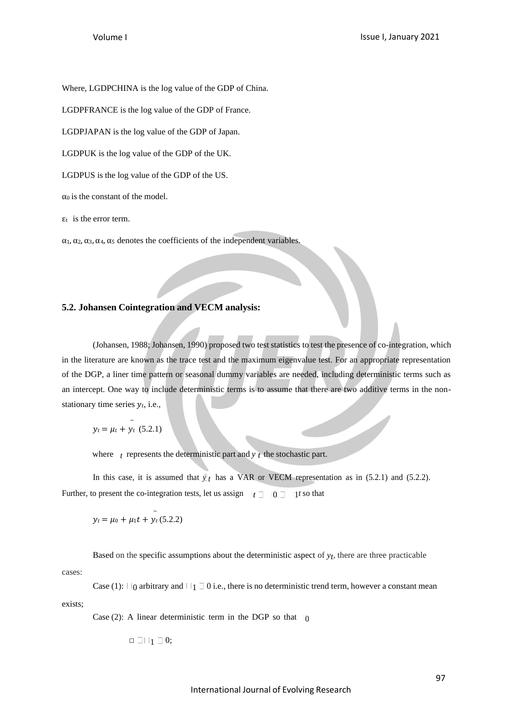Where, LGDPCHINA is the log value of the GDP of China.

LGDPFRANCE is the log value of the GDP of France.

LGDPJAPAN is the log value of the GDP of Japan.

LGDPUK is the log value of the GDP of the UK.

LGDPUS is the log value of the GDP of the US.

 $\alpha_0$  is the constant of the model.

 $\epsilon_t$  is the error term.

 $\alpha_1, \alpha_2, \alpha_3, \alpha_4, \alpha_5$  denotes the coefficients of the independent variables.

# **5.2. Johansen Cointegration and VECM analysis:**

(Johansen, 1988; Johansen, 1990) proposed two test statistics to test the presence of co-integration, which in the literature are known as the trace test and the maximum eigenvalue test. For an appropriate representation of the DGP, a liner time pattern or seasonal dummy variables are needed, including deterministic terms such as an intercept. One way to include deterministic terms is to assume that there are two additive terms in the nonstationary time series  $y_t$ , i.e.,

$$
y_t = \mu_t + \tilde{y}_t \quad (5.2.1)
$$

where  $t$  represents the deterministic part and  $y$   $t$  the stochastic part.

In this case, it is assumed that  $\bar{y}_t$  has a VAR or VECM representation as in (5.2.1) and (5.2.2). Further, to present the co-integration tests, let us assign  $|t \supseteq 0 \supseteq 1$ t so that

$$
y_t = \mu_0 + \mu_1 t + y_t (5.2.2)
$$

Based on the specific assumptions about the deterministic aspect of  $y_t$ , there are three practicable

cases:

exists; Case (1):  $\Box$  0 arbitrary and  $\Box$  1  $\Box$  0 i.e., there is no deterministic trend term, however a constant mean

Case (2): A linear deterministic term in the DGP so that  $|_0$ 

$$
\Box\sqcup\sqcup_1\sqsupset 0;
$$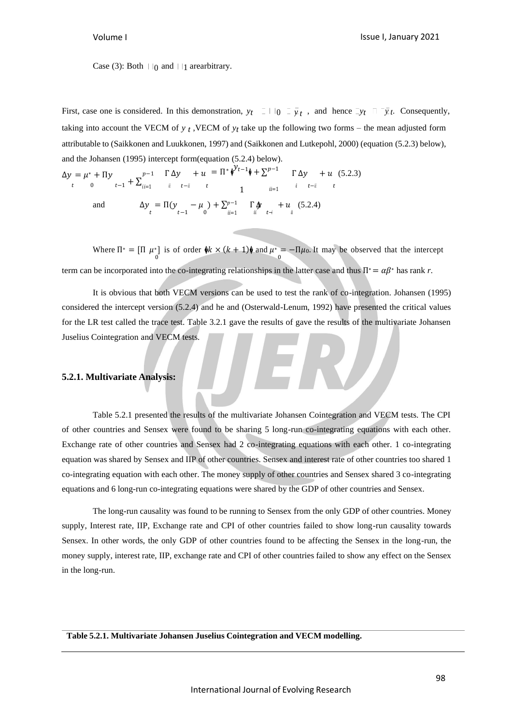Case (3): Both  $||\cdot||_0$  and  $||\cdot||_1$  arearbitrary.

First, case one is considered. In this demonstration,  $y_t = 1 + 0 = \overline{y}_t$ , and hence  $\overline{y}_t = \overline{y}_t$ . Consequently, taking into account the VECM of  $y_t$ , VECM of  $y_t$  take up the following two forms – the mean adjusted form attributable to (Saikkonen and Luukkonen, 1997) and (Saikkonen and Lutkepohl, 2000) (equation (5.2.3) below), and the Johansen (1995) intercept form(equation (5.2.4) below).

$$
\Delta y = \mu^* + \Pi y \qquad t - 1 + \sum_{i=1}^{p-1} \prod_{i=1}^{r} \Delta y \qquad + u = \Pi^* \phi^{\mathcal{Y}_{t-1}} \phi + \sum_{i=1}^{p-1} \prod_{i=1}^{r} \Delta y \qquad + u \quad (5.2.3)
$$
  
and  

$$
\Delta y = \Pi (y \qquad t - 1) + \sum_{i=1}^{p-1} \prod_{i=1}^{r} \phi \qquad + u \quad (5.2.4)
$$

Where  $\Pi^* = [\Pi \mu^*]$  is of order  $\oint k \times (k+1)\oint \text{and } \mu^* = -\Pi \mu_0$ . It may be observed that the intercept term can be incorporated into the co-integrating relationships in the latter case and thus  $\Pi^* = \alpha \beta^*$  has rank *r*.

It is obvious that both VECM versions can be used to test the rank of co-integration. Johansen (1995) considered the intercept version (5.2.4) and he and (Osterwald-Lenum, 1992) have presented the critical values for the LR test called the trace test. Table 3.2.1 gave the results of gave the results of the multivariate Johansen Juselius Cointegration and VECM tests.

# **5.2.1. Multivariate Analysis:**

Table 5.2.1 presented the results of the multivariate Johansen Cointegration and VECM tests. The CPI of other countries and Sensex were found to be sharing 5 long-run co-integrating equations with each other. Exchange rate of other countries and Sensex had 2 co-integrating equations with each other. 1 co-integrating equation was shared by Sensex and IIP of other countries. Sensex and interest rate of other countries too shared 1 co-integrating equation with each other. The money supply of other countries and Sensex shared 3 co-integrating equations and 6 long-run co-integrating equations were shared by the GDP of other countries and Sensex.

The long-run causality was found to be running to Sensex from the only GDP of other countries. Money supply, Interest rate, IIP, Exchange rate and CPI of other countries failed to show long-run causality towards Sensex. In other words, the only GDP of other countries found to be affecting the Sensex in the long-run, the money supply, interest rate, IIP, exchange rate and CPI of other countries failed to show any effect on the Sensex in the long-run.

**Table 5.2.1. Multivariate Johansen Juselius Cointegration and VECM modelling.**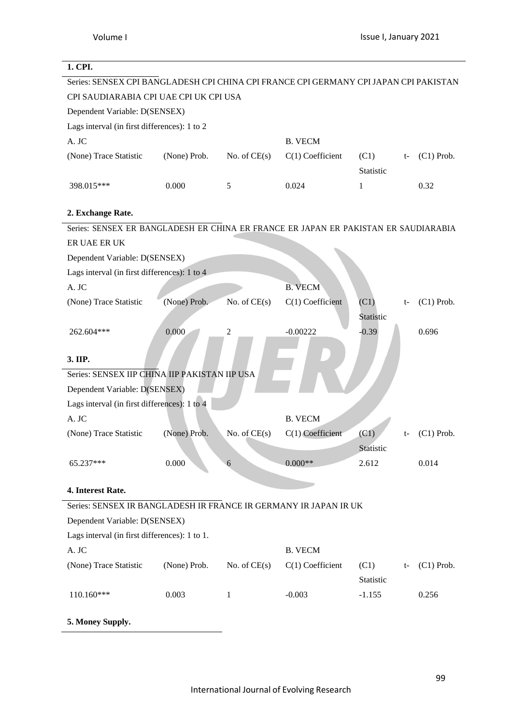# **1. CPI.** Series: SENSEX CPI BANGLADESH CPI CHINA CPI FRANCE CPI GERMANY CPI JAPAN CPI PAKISTAN CPI SAUDIARABIA CPI UAE CPI UK CPI USA Dependent Variable: D(SENSEX) Lags interval (in first differences): 1 to 2 A. JC B. VECM (None) Trace Statistic (None) Prob. No. of CE(s)  $C(1)$  Coefficient (C1) **Statistic** (C1) Prob. 398.015\*\*\* 0.000 5 0.024 1 0.32 **2. Exchange Rate.** Series: SENSEX ER BANGLADESH ER CHINA ER FRANCE ER JAPAN ER PAKISTAN ER SAUDIARABIA ER UAE ER UK Dependent Variable: D(SENSEX) Lags interval (in first differences): 1 to 4 A. JC B. VECM (None) Trace Statistic (None) Prob. No. of CE(s) C(1) Coefficient (C1) t-Statistic (C1) Prob. 262.604\*\*\* 0.000 2 -0.00222 -0.39 0.696 **3. IIP.** Series: SENSEX IIP CHINA IIP PAKISTAN IIP USA Dependent Variable: D(SENSEX) Lags interval (in first differences): 1 to 4 A. JC B. VECM (None) Trace Statistic (None) Prob. No. of CE(s) C(1) Coefficient (C1) t-**Statistic** (C1) Prob.  $65.237***$  0.000 6 0.000<sup>\*\*</sup> 2.612 0.014 **4. Interest Rate.** Series: SENSEX IR BANGLADESH IR FRANCE IR GERMANY IR JAPAN IR UK Dependent Variable: D(SENSEX) Lags interval (in first differences): 1 to 1. A. JC B. VECM (None) Trace Statistic (None) Prob. No. of CE(s) C(1) Coefficient (C1) t-Statistic (C1) Prob. 110.160\*\*\* 0.003 1 -0.003 -1.155 0.256

**5. Money Supply.**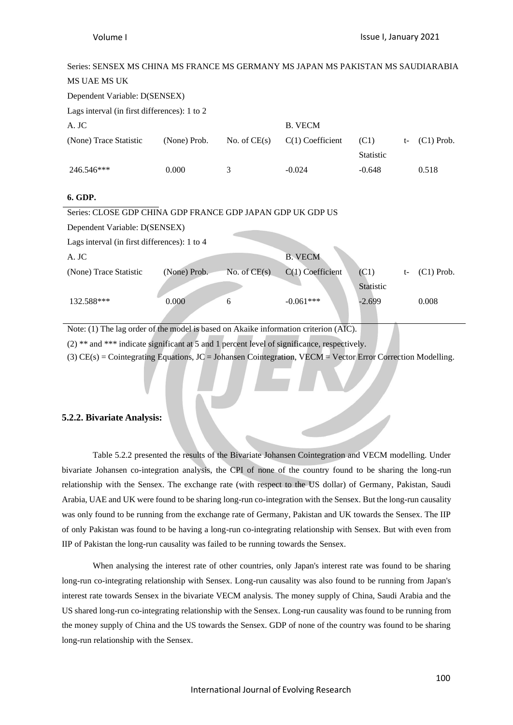| Series: SENSEX MS CHINA MS FRANCE MS GERMANY MS JAPAN MS PAKISTAN MS SAUDIARABIA |                               |                                   |                               |                          |    |              |  |  |
|----------------------------------------------------------------------------------|-------------------------------|-----------------------------------|-------------------------------|--------------------------|----|--------------|--|--|
| <b>MS UAE MS UK</b>                                                              |                               |                                   |                               |                          |    |              |  |  |
|                                                                                  | Dependent Variable: D(SENSEX) |                                   |                               |                          |    |              |  |  |
| Lags interval (in first differences): 1 to 2                                     |                               |                                   |                               |                          |    |              |  |  |
| A. JC                                                                            |                               |                                   | <b>B. VECM</b>                |                          |    |              |  |  |
| (None) Trace Statistic                                                           | (None) Prob.                  | No. of $CE(s)$                    | $C(1)$ Coefficient            | (C1)<br><b>Statistic</b> | t- | $(C1)$ Prob. |  |  |
| 246.546***                                                                       | 0.000                         | 3                                 | $-0.024$                      | $-0.648$                 |    | 0.518        |  |  |
| 6. GDP.                                                                          |                               |                                   |                               |                          |    |              |  |  |
| Series: CLOSE GDP CHINA GDP FRANCE GDP JAPAN GDP UK GDP US                       |                               |                                   |                               |                          |    |              |  |  |
| Dependent Variable: D(SENSEX)                                                    |                               |                                   |                               |                          |    |              |  |  |
| Lags interval (in first differences): 1 to 4                                     |                               |                                   |                               |                          |    |              |  |  |
| A. JC                                                                            |                               |                                   | <b>B. VECM</b>                |                          |    |              |  |  |
| (None) Trace Statistic                                                           | (None) Prob.                  | No. of $CE(s)$                    | $C(1)$ Coefficient            | (C1)                     | t- | $(C1)$ Prob. |  |  |
|                                                                                  |                               |                                   |                               | Statistic                |    |              |  |  |
| 132.588***                                                                       | 0.000                         | 6                                 | $-0.061***$                   | $-2.699$                 |    | 0.008        |  |  |
| $C_{11}$<br>$\mathbf{M}$ $(4 \times 7)$ $(1)$                                    | $1 \t1 \t1 \t1$               | $\lambda$ 1 1 $\lambda$ $\lambda$ | the state of the state<br>(1) |                          |    |              |  |  |

Note: (1) The lag order of the model is based on Akaike information criterion (AIC).

(2) \*\* and \*\*\* indicate significant at 5 and 1 percent level of significance, respectively.

(3)  $CE(s) = Cointegrating Equations, JC = Johansen Cointegration, VECM = Vector Error Correction Modelling.$ 

#### **5.2.2. Bivariate Analysis:**

Table 5.2.2 presented the results of the Bivariate Johansen Cointegration and VECM modelling. Under bivariate Johansen co-integration analysis, the CPI of none of the country found to be sharing the long-run relationship with the Sensex. The exchange rate (with respect to the US dollar) of Germany, Pakistan, Saudi Arabia, UAE and UK were found to be sharing long-run co-integration with the Sensex. But the long-run causality was only found to be running from the exchange rate of Germany, Pakistan and UK towards the Sensex. The IIP of only Pakistan was found to be having a long-run co-integrating relationship with Sensex. But with even from IIP of Pakistan the long-run causality was failed to be running towards the Sensex.

When analysing the interest rate of other countries, only Japan's interest rate was found to be sharing long-run co-integrating relationship with Sensex. Long-run causality was also found to be running from Japan's interest rate towards Sensex in the bivariate VECM analysis. The money supply of China, Saudi Arabia and the US shared long-run co-integrating relationship with the Sensex. Long-run causality was found to be running from the money supply of China and the US towards the Sensex. GDP of none of the country was found to be sharing long-run relationship with the Sensex.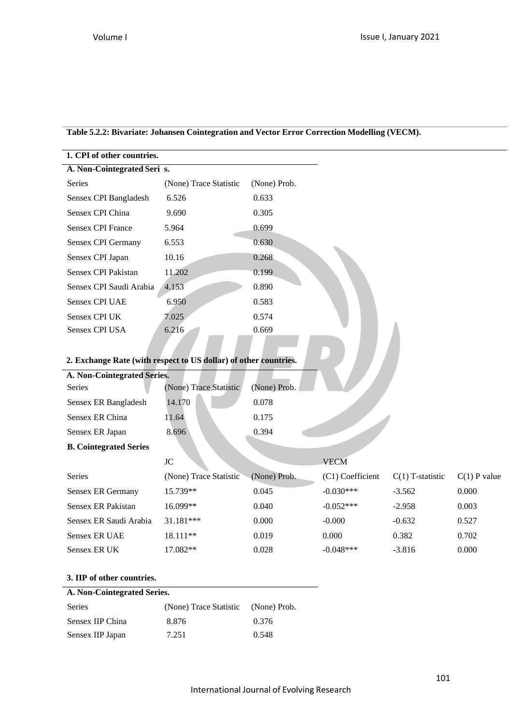| Table 5.2.2: Bivariate: Johansen Cointegration and Vector Error Correction Modelling (VECM). |
|----------------------------------------------------------------------------------------------|
|----------------------------------------------------------------------------------------------|

| 1. CPI of other countries.  |                        |              |  |
|-----------------------------|------------------------|--------------|--|
| A. Non-Cointegrated Seri s. |                        |              |  |
| Series                      | (None) Trace Statistic | (None) Prob. |  |
| Sensex CPI Bangladesh       | 6.526                  | 0.633        |  |
| Sensex CPI China            | 9.690                  | 0.305        |  |
| <b>Sensex CPI France</b>    | 5.964                  | 0.699        |  |
| Sensex CPI Germany          | 6.553                  | 0.630        |  |
| Sensex CPI Japan            | 10.16                  | 0.268        |  |
| Sensex CPI Pakistan         | 11.202                 | 0.199        |  |
| Sensex CPI Saudi Arabia     | 4.153                  | 0.890        |  |
| <b>Sensex CPI UAE</b>       | 6.950                  | 0.583        |  |
| <b>Sensex CPI UK</b>        | 7.025                  | 0.574        |  |
| Sensex CPI USA              | 6.216                  | 0.669        |  |
|                             |                        |              |  |

# **2. Exchange Rate (with respect to US dollar) of other countries.**

| A. Non-Cointegrated Series. |                        |              |
|-----------------------------|------------------------|--------------|
| <b>Series</b>               | (None) Trace Statistic | (None) Prob. |
| Sensex ER Bangladesh        | 14.170                 | 0.078        |
| Sensex ER China             | 11.64                  | 0.175        |
| Sensex ER Japan             | 8.696                  | 0.394        |
|                             |                        |              |

# **B. Cointegrated Series**

|                        | JC                     |              | <b>VECM</b>      |                    |                |
|------------------------|------------------------|--------------|------------------|--------------------|----------------|
| <b>Series</b>          | (None) Trace Statistic | (None) Prob. | (C1) Coefficient | $C(1)$ T-statistic | $C(1)$ P value |
| Sensex ER Germany      | 15.739**               | 0.045        | $-0.030***$      | $-3.562$           | 0.000          |
| Sensex ER Pakistan     | 16.099**               | 0.040        | $-0.052***$      | $-2.958$           | 0.003          |
| Sensex ER Saudi Arabia | $31.181***$            | 0.000        | $-0.000$         | $-0.632$           | 0.527          |
| Sensex ER UAE          | 18.111**               | 0.019        | 0.000            | 0.382              | 0.702          |
| Sensex ER UK           | 17.082**               | 0.028        | $-0.048***$      | $-3.816$           | 0.000          |

# **3. IIP of other countries.**

# **A. Non-Cointegrated Series.**

| Series           | (None) Trace Statistic (None) Prob. |       |
|------------------|-------------------------------------|-------|
| Sensex IIP China | 8.876                               | 0.376 |
| Sensex IIP Japan | 7.251                               | 0.548 |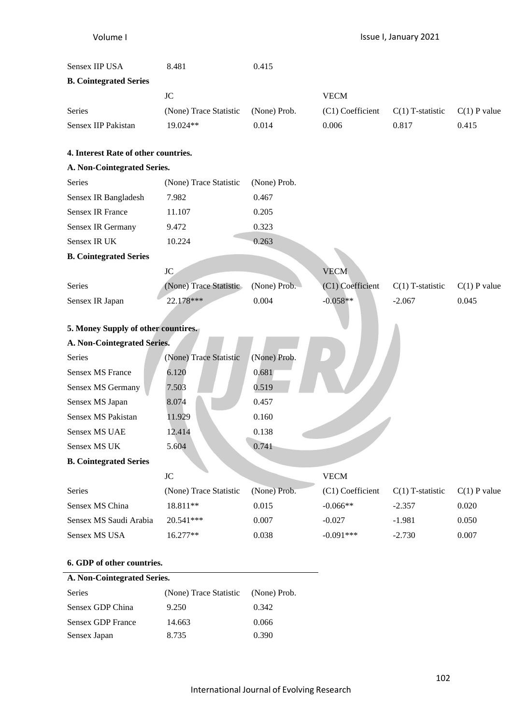| Sensex IIP USA                       | 8.481                  | 0.415        |                  |                    |                |
|--------------------------------------|------------------------|--------------|------------------|--------------------|----------------|
| <b>B. Cointegrated Series</b>        |                        |              |                  |                    |                |
|                                      | <b>JC</b>              |              | <b>VECM</b>      |                    |                |
| Series                               | (None) Trace Statistic | (None) Prob. | (C1) Coefficient | $C(1)$ T-statistic | $C(1)$ P value |
| Sensex IIP Pakistan                  | 19.024**               | 0.014        | 0.006            | 0.817              | 0.415          |
| 4. Interest Rate of other countries. |                        |              |                  |                    |                |
| A. Non-Cointegrated Series.          |                        |              |                  |                    |                |
| Series                               | (None) Trace Statistic | (None) Prob. |                  |                    |                |
| Sensex IR Bangladesh                 | 7.982                  | 0.467        |                  |                    |                |
| <b>Sensex IR France</b>              | 11.107                 | 0.205        |                  |                    |                |
| Sensex IR Germany                    | 9.472                  | 0.323        |                  |                    |                |
| Sensex IR UK                         | 10.224                 | 0.263        |                  |                    |                |
| <b>B. Cointegrated Series</b>        |                        |              |                  |                    |                |
|                                      | JC                     |              | <b>VECM</b>      |                    |                |
| Series                               | (None) Trace Statistic | (None) Prob. | (C1) Coefficient | $C(1)$ T-statistic | $C(1)$ P value |
| Sensex IR Japan                      | 22.178***              | 0.004        | $-0.058**$       | $-2.067$           | 0.045          |
|                                      |                        |              |                  |                    |                |
| 5. Money Supply of other countires.  |                        |              |                  |                    |                |
| A. Non-Cointegrated Series.          |                        |              |                  |                    |                |
| Series                               | (None) Trace Statistic | (None) Prob. |                  |                    |                |
| <b>Sensex MS France</b>              | 6.120                  | 0.681        |                  |                    |                |
| Sensex MS Germany                    | 7.503                  | 0.519        |                  |                    |                |
| Sensex MS Japan                      | 8.074                  | 0.457        |                  |                    |                |
| Sensex MS Pakistan                   | 11.929                 | 0.160        |                  |                    |                |
| <b>Sensex MS UAE</b>                 | 12.414                 | 0.138        |                  |                    |                |
| Sensex MS UK                         | 5.604                  | 0.741        |                  |                    |                |
| <b>B. Cointegrated Series</b>        |                        |              |                  |                    |                |
|                                      | $\rm JC$               |              | <b>VECM</b>      |                    |                |
| Series                               | (None) Trace Statistic | (None) Prob. | (C1) Coefficient | $C(1)$ T-statistic | $C(1)$ P value |
| Sensex MS China                      | 18.811**               | 0.015        | $-0.066**$       | $-2.357$           | 0.020          |
| Sensex MS Saudi Arabia               | 20.541***              | 0.007        | $-0.027$         | $-1.981$           | 0.050          |
| Sensex MS USA                        | 16.277**               | 0.038        | $-0.091***$      | $-2.730$           | 0.007          |
| 6. GDP of other countries.           |                        |              |                  |                    |                |

# **A. Non-Cointegrated Series.** Series (None) Trace Statistic (None) Prob. Sensex GDP China 9.250 0.342

| <b>Sensex GDP France</b> | 14.663 | 0.066 |
|--------------------------|--------|-------|
| Sensex Japan             | 8.735  | 0.390 |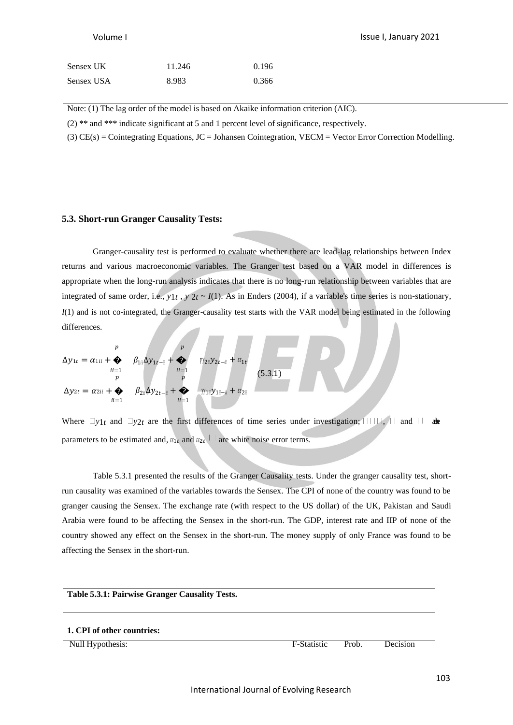| Sensex UK  | 11.246 | 0.196 |
|------------|--------|-------|
| Sensex USA | 8.983  | 0.366 |

Note: (1) The lag order of the model is based on Akaike information criterion (AIC).

(2) \*\* and \*\*\* indicate significant at 5 and 1 percent level of significance, respectively.

(3) CE(s) = Cointegrating Equations, JC = Johansen Cointegration, VECM = Vector Error Correction Modelling.

## **5.3. Short-run Granger Causality Tests:**

Granger-causality test is performed to evaluate whether there are lead-lag relationships between Index returns and various macroeconomic variables. The Granger test based on a VAR model in differences is appropriate when the long-run analysis indicates that there is no long-run relationship between variables that are integrated of same order, i.e.,  $y_1t$ ,  $y_2t \sim I(1)$ . As in Enders (2004), if a variable's time series is non-stationary, *I*(1) and is not co-integrated, the Granger-causality test starts with the VAR model being estimated in the following differences.

$$
\Delta y_{1t} = \alpha_{1ii} + \sum_{ii=1}^{p} \beta_{1ii} \Delta y_{1t-i} + \sum_{ii=1}^{p} \eta_{2ii} y_{2t-i} + \epsilon_{i1t}
$$
  
\n
$$
\Delta y_{2t} = \alpha_{2ii} + \sum_{ii=1}^{p} \beta_{2ii} \Delta y_{2t-i} + \sum_{ii=1}^{p} \eta_{1ii} y_{1i-i} + \epsilon_{i2ii}
$$
\n(5.3.1)

Where  $\exists y_1 t$  and  $\exists y_2 t$  are the first differences of time series under investigation;  $\exists \exists y_1 t$  and  $\exists \forall x$ parameters to be estimated and,  $x_{1t}$  and  $x_{2t}$ <sup> $\parallel$ </sup> are white noise error terms.

Table 5.3.1 presented the results of the Granger Causality tests. Under the granger causality test, shortrun causality was examined of the variables towards the Sensex. The CPI of none of the country was found to be granger causing the Sensex. The exchange rate (with respect to the US dollar) of the UK, Pakistan and Saudi Arabia were found to be affecting the Sensex in the short-run. The GDP, interest rate and IIP of none of the country showed any effect on the Sensex in the short-run. The money supply of only France was found to be affecting the Sensex in the short-run.

#### **Table 5.3.1: Pairwise Granger Causality Tests.**

#### **1. CPI of other countries:**

Null Hypothesis: F-Statistic Prob. Decision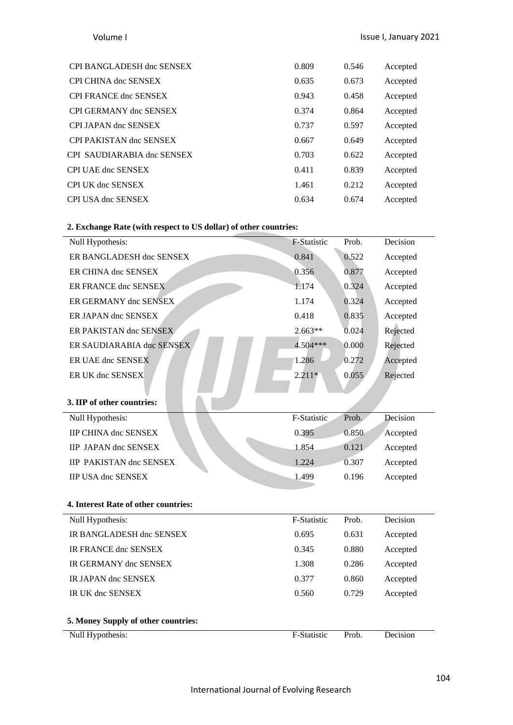| CPI BANGLADESH dnc SENSEX     | 0.809 | 0.546 | Accepted |
|-------------------------------|-------|-------|----------|
| <b>CPI CHINA dnc SENSEX</b>   | 0.635 | 0.673 | Accepted |
| <b>CPI FRANCE dnc SENSEX</b>  | 0.943 | 0.458 | Accepted |
| <b>CPI GERMANY dnc SENSEX</b> | 0.374 | 0.864 | Accepted |
| CPI JAPAN dnc SENSEX          | 0.737 | 0.597 | Accepted |
| CPI PAKISTAN dnc SENSEX       | 0.667 | 0.649 | Accepted |
| CPI SAUDIARABIA dnc SENSEX    | 0.703 | 0.622 | Accepted |
| <b>CPI UAE dnc SENSEX</b>     | 0.411 | 0.839 | Accepted |
| <b>CPI UK dnc SENSEX</b>      | 1.461 | 0.212 | Accepted |
| CPI USA dnc SENSEX            | 0.634 | 0.674 | Accepted |

# **2. Exchange Rate (with respect to US dollar) of other countries:**

| 0.841       | 0.522 | Accepted |
|-------------|-------|----------|
| 0.356       | 0.877 | Accepted |
| 1.174       | 0.324 | Accepted |
| 1.174       | 0.324 | Accepted |
| 0.418       | 0.835 | Accepted |
| $2.663**$   | 0.024 | Rejected |
| 4.504***    | 0.000 | Rejected |
| 1.286       | 0.272 | Accepted |
| $2.211*$    | 0.055 | Rejected |
|             |       |          |
|             |       |          |
| F-Statistic | Prob. | Decision |
| 0.395       | 0.850 | Accepted |
| 1.854       | 0.121 | Accepted |
| 1.224       | 0.307 | Accepted |
| 1.499       | 0.196 | Accepted |
|             |       |          |
|             |       |          |
| F-Statistic | Prob. | Decision |
| 0.695       | 0.631 | Accepted |
| 0.345       | 0.880 | Accepted |
| 1.308       | 0.286 | Accepted |
| 0.377       | 0.860 | Accepted |
| 0.560       | 0.729 | Accepted |
|             |       |          |
|             |       |          |
| F-Statistic | Prob. | Decision |
|             |       |          |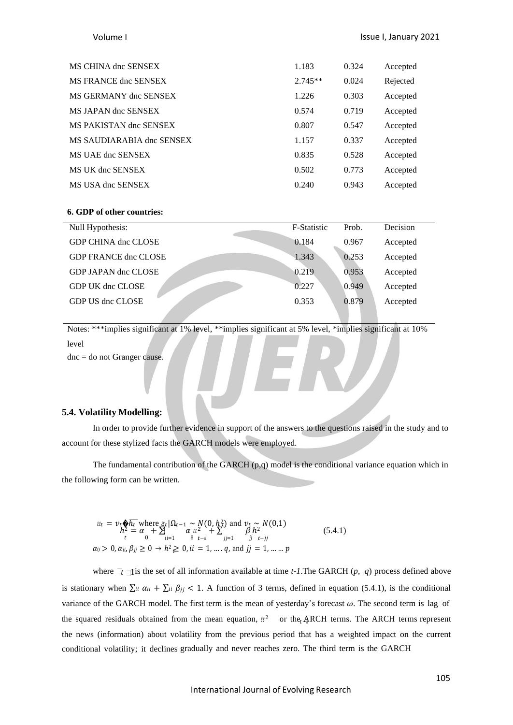| MS CHINA dnc SENSEX       | 1.183     | 0.324 | Accepted |
|---------------------------|-----------|-------|----------|
| MS FRANCE dnc SENSEX      | $2.745**$ | 0.024 | Rejected |
| MS GERMANY dnc SENSEX     | 1.226     | 0.303 | Accepted |
| MS JAPAN dnc SENSEX       | 0.574     | 0.719 | Accepted |
| MS PAKISTAN dnc SENSEX    | 0.807     | 0.547 | Accepted |
| MS SAUDIARABIA dnc SENSEX | 1.157     | 0.337 | Accepted |
| MS UAE dnc SENSEX         | 0.835     | 0.528 | Accepted |
| MS UK dnc SENSEX          | 0.502     | 0.773 | Accepted |
| MS USA dnc SENSEX         | 0.240     | 0.943 | Accepted |

#### **6. GDP of other countries:**

| Null Hypothesis:            | F-Statistic | Prob. | Decision |
|-----------------------------|-------------|-------|----------|
| GDP CHINA dnc CLOSE         | 0.184       | 0.967 | Accepted |
| <b>GDP FRANCE dnc CLOSE</b> | 1.343       | 0.253 | Accepted |
| GDP JAPAN dnc CLOSE         | 0.219       | 0.953 | Accepted |
| GDP UK dnc CLOSE            | 0.227       | 0.949 | Accepted |
| GDP US dnc CLOSE            | 0.353       | 0.879 | Accepted |
|                             |             |       |          |

Notes: \*\*\*implies significant at 1% level, \*\*implies significant at 5% level, \*implies significant at 10% level dnc = do not Granger cause.

### **5.4. Volatility Modelling:**

In order to provide further evidence in support of the answers to the questions raised in the study and to account for these stylized facts the GARCH models were employed.

The fundamental contribution of the GARCH (p,q) model is the conditional variance equation which in the following form can be written.

$$
\begin{array}{l}\n\text{if } \mathcal{E} = \nu_t \mathbf{\hat{\phi}} \overline{h_t} \text{ where } \text{if } \Omega_{t-1} \sim N(0, h_t^2) \text{ and } \nu_t \sim N(0, 1) \\
h_t^2 = \alpha + \sum_{i=1}^d \alpha_{ii}^2 + \sum_{j=1}^d \beta_{jj}^2 \\
\alpha_0 > 0, \alpha_{ii}, \beta_{jj} \ge 0 \rightarrow h^2 \ge 0, \text{ if } = 1, \dots, q, \text{ and } jj = 1, \dots, p\n\end{array} \tag{5.4.1}
$$

where  $\bar{f}$  is the set of all information available at time *t*-1. The GARCH (*p*, *q*) process defined above is stationary when  $\sum u \alpha_{ii} + \sum u \beta_{jj} < 1$ . A function of 3 terms, defined in equation (5.4.1), is the conditional variance of the GARCH model. The first term is the mean of yesterday's forecast  $\omega$ . The second term is lag of the squared residuals obtained from the mean equation,  $\kappa^2$  or the<sub>t</sub> $\text{A}$ <sub>RCH</sub> terms. The ARCH terms represent the news (information) about volatility from the previous period that has a weighted impact on the current conditional volatility; it declines gradually and never reaches zero. The third term is the GARCH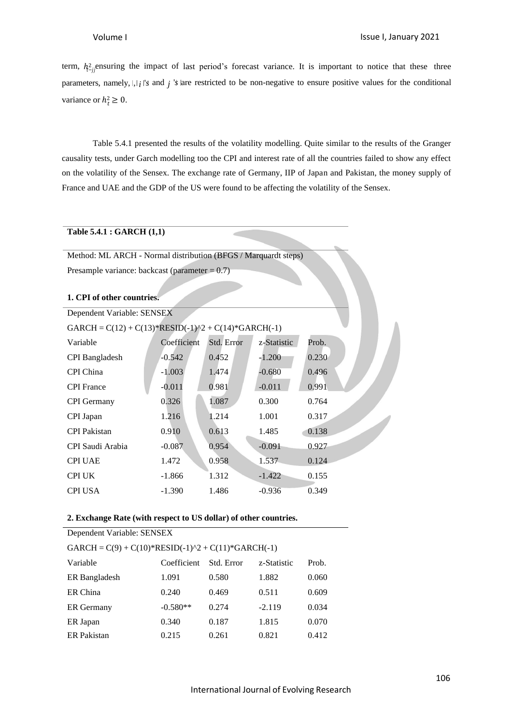variance or  $h_t^2 \geq 0$ . term,  $h_{-ij}^2$  ensuring the impact of last period's forecast variance. It is important to notice that these three parameters, namely,  $|, |$  *i*  $|$ '*s* and *i*  $|$ '*s* are restricted to be non-negative to ensure positive values for the conditional

Table 5.4.1 presented the results of the volatility modelling. Quite similar to the results of the Granger causality tests, under Garch modelling too the CPI and interest rate of all the countries failed to show any effect on the volatility of the Sensex. The exchange rate of Germany, IIP of Japan and Pakistan, the money supply of France and UAE and the GDP of the US were found to be affecting the volatility of the Sensex.

## **Table 5.4.1 : GARCH (1,1)**

Method: ML ARCH - Normal distribution (BFGS / Marquardt steps) Presample variance: backcast (parameter = 0.7)

#### **1. CPI of other countries.**

| Dependent Variable: SENSEX                            |             |            |             |       |  |
|-------------------------------------------------------|-------------|------------|-------------|-------|--|
| GARCH = $C(12) + C(13)*RESID(-1)^2 + C(14)*GARCH(-1)$ |             |            |             |       |  |
| Variable                                              | Coefficient | Std. Error | z-Statistic | Prob. |  |
| <b>CPI</b> Bangladesh                                 | $-0.542$    | 0.452      | $-1.200$    | 0.230 |  |
| CPI China                                             | $-1.003$    | 1.474      | $-0.680$    | 0.496 |  |
| <b>CPI</b> France                                     | $-0.011$    | 0.981      | $-0.011$    | 0.991 |  |
| <b>CPI</b> Germany                                    | 0.326       | 1.087      | 0.300       | 0.764 |  |
| CPI Japan                                             | 1.216       | 1.214      | 1.001       | 0.317 |  |
| <b>CPI</b> Pakistan                                   | 0.910       | 0.613      | 1.485       | 0.138 |  |
| CPI Saudi Arabia                                      | $-0.087$    | 0.954      | $-0.091$    | 0.927 |  |
| <b>CPI UAE</b>                                        | 1.472       | 0.958      | 1.537       | 0.124 |  |
| <b>CPI UK</b>                                         | $-1.866$    | 1.312      | $-1.422$    | 0.155 |  |
| <b>CPI USA</b>                                        | $-1.390$    | 1.486      | $-0.936$    | 0.349 |  |

### **2. Exchange Rate (with respect to US dollar) of other countries.**

| Dependent Variable: SENSEX                           |             |            |             |       |  |  |
|------------------------------------------------------|-------------|------------|-------------|-------|--|--|
| GARCH = $C(9) + C(10)*RESID(-1)^2 + C(11)*GARCH(-1)$ |             |            |             |       |  |  |
| Variable                                             | Coefficient | Std. Error | z-Statistic | Prob. |  |  |
| ER Bangladesh                                        | 1.091       | 0.580      | 1.882       | 0.060 |  |  |
| ER China                                             | 0.240       | 0.469      | 0.511       | 0.609 |  |  |
| <b>ER</b> Germany                                    | $-0.580**$  | 0.274      | $-2.119$    | 0.034 |  |  |
| ER Japan                                             | 0.340       | 0.187      | 1.815       | 0.070 |  |  |
| <b>ER</b> Pakistan                                   | 0.215       | 0.261      | 0.821       | 0.412 |  |  |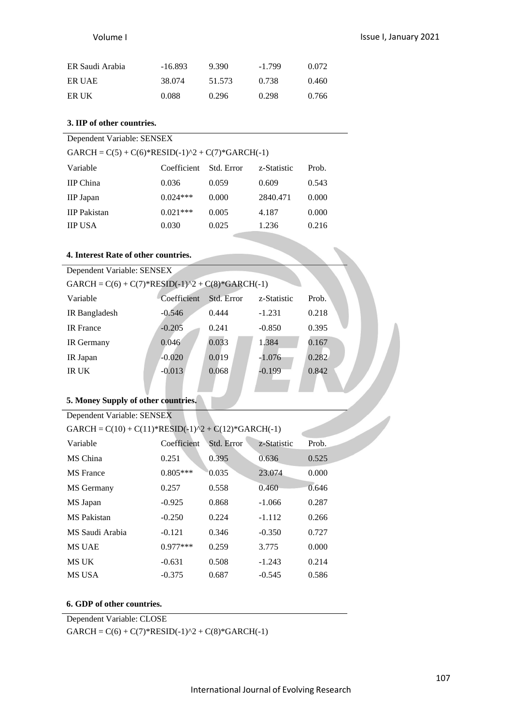| ER Saudi Arabia | $-16.893$ | 9.390  | $-1.799$ | 0.072 |
|-----------------|-----------|--------|----------|-------|
| ER UAE          | 38.074    | 51.573 | 0.738    | 0.460 |
| ER UK           | 0.088     | 0.296  | 0.298    | 0.766 |

# **3. IIP of other countries.**

| GARCH = $C(5) + C(6)$ *RESID(-1)^2 + $C(7)$ *GARCH(-1) |  |  |  |  |  |
|--------------------------------------------------------|--|--|--|--|--|
|--------------------------------------------------------|--|--|--|--|--|

| Coefficient | Std. Error | z-Statistic | Prob. |
|-------------|------------|-------------|-------|
| 0.036       | 0.059      | 0.609       | 0.543 |
| $0.024***$  | 0.000      | 2840.471    | 0.000 |
| $0.021***$  | 0.005      | 4.187       | 0.000 |
| 0.030       | 0.025      | 1.236       | 0.216 |
|             |            |             |       |

# **4. Interest Rate of other countries.**

| Dependent Variable: SENSEX                             |             |            |             |       |  |
|--------------------------------------------------------|-------------|------------|-------------|-------|--|
| GARCH = $C(6) + C(7)$ *RESID(-1)^2 + $C(8)$ *GARCH(-1) |             |            |             |       |  |
| Variable                                               | Coefficient | Std. Error | z-Statistic | Prob. |  |
| IR Bangladesh                                          | $-0.546$    | 0.444      | $-1.231$    | 0.218 |  |
| <b>IR</b> France                                       | $-0.205$    | 0.241      | $-0.850$    | 0.395 |  |
| <b>IR</b> Germany                                      | 0.046       | 0.033      | 1.384       | 0.167 |  |
| IR Japan                                               | $-0.020$    | 0.019      | $-1.076$    | 0.282 |  |
| IR UK                                                  | $-0.013$    | 0.068      | $-0.199$    | 0.842 |  |
|                                                        |             |            |             |       |  |

# **5. Money Supply of other countries.**

| Dependent Variable: SENSEX                            |             |            |             |       |  |  |
|-------------------------------------------------------|-------------|------------|-------------|-------|--|--|
| GARCH = $C(10) + C(11)*RESID(-1)^2 + C(12)*GARCH(-1)$ |             |            |             |       |  |  |
| Variable                                              | Coefficient | Std. Error | z-Statistic | Prob. |  |  |
| MS China                                              | 0.251       | 0.395      | 0.636       | 0.525 |  |  |
| <b>MS</b> France                                      | $0.805***$  | 0.035      | 23,074      | 0.000 |  |  |
| MS Germany                                            | 0.257       | 0.558      | 0.460       | 0.646 |  |  |
| MS Japan                                              | $-0.925$    | 0.868      | $-1.066$    | 0.287 |  |  |
| <b>MS</b> Pakistan                                    | $-0.250$    | 0.224      | $-1.112$    | 0.266 |  |  |
| MS Saudi Arabia                                       | $-0.121$    | 0.346      | $-0.350$    | 0.727 |  |  |
| <b>MS UAE</b>                                         | $0.977***$  | 0.259      | 3.775       | 0.000 |  |  |
| MS UK                                                 | $-0.631$    | 0.508      | $-1.243$    | 0.214 |  |  |
| <b>MS USA</b>                                         | $-0.375$    | 0.687      | $-0.545$    | 0.586 |  |  |

# **6. GDP of other countries.**

Dependent Variable: CLOSE

 $GARCH = C(6) + C(7) * RESID(-1)^2 + C(8) * GARCH(-1)$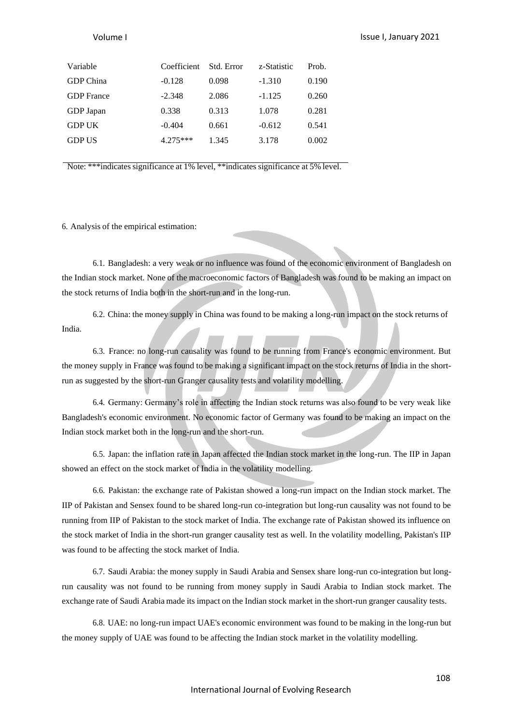| Variable          | Coefficient | Std. Error | z-Statistic | Prob. |
|-------------------|-------------|------------|-------------|-------|
| GDP China         | $-0.128$    | 0.098      | $-1.310$    | 0.190 |
| <b>GDP</b> France | $-2.348$    | 2.086      | $-1.125$    | 0.260 |
| GDP Japan         | 0.338       | 0.313      | 1.078       | 0.281 |
| <b>GDP UK</b>     | $-0.404$    | 0.661      | $-0.612$    | 0.541 |
| <b>GDP US</b>     | $4.275***$  | 1.345      | 3.178       | 0.002 |
|                   |             |            |             |       |

Note: \*\*\*indicates significance at 1% level, \*\*indicates significance at 5% level.

6. Analysis of the empirical estimation:

6.1. Bangladesh: a very weak or no influence was found of the economic environment of Bangladesh on the Indian stock market. None of the macroeconomic factors of Bangladesh was found to be making an impact on the stock returns of India both in the short-run and in the long-run.

6.2. China: the money supply in China was found to be making a long-run impact on the stock returns of India.

6.3. France: no long-run causality was found to be running from France's economic environment. But the money supply in France was found to be making a significant impact on the stock returns of India in the shortrun as suggested by the short-run Granger causality tests and volatility modelling.

6.4. Germany: Germany's role in affecting the Indian stock returns was also found to be very weak like Bangladesh's economic environment. No economic factor of Germany was found to be making an impact on the Indian stock market both in the long-run and the short-run.

6.5. Japan: the inflation rate in Japan affected the Indian stock market in the long-run. The IIP in Japan showed an effect on the stock market of India in the volatility modelling.

6.6. Pakistan: the exchange rate of Pakistan showed a long-run impact on the Indian stock market. The IIP of Pakistan and Sensex found to be shared long-run co-integration but long-run causality was not found to be running from IIP of Pakistan to the stock market of India. The exchange rate of Pakistan showed its influence on the stock market of India in the short-run granger causality test as well. In the volatility modelling, Pakistan's IIP was found to be affecting the stock market of India.

6.7. Saudi Arabia: the money supply in Saudi Arabia and Sensex share long-run co-integration but longrun causality was not found to be running from money supply in Saudi Arabia to Indian stock market. The exchange rate of Saudi Arabia made its impact on the Indian stock market in the short-run granger causality tests.

6.8. UAE: no long-run impact UAE's economic environment was found to be making in the long-run but the money supply of UAE was found to be affecting the Indian stock market in the volatility modelling.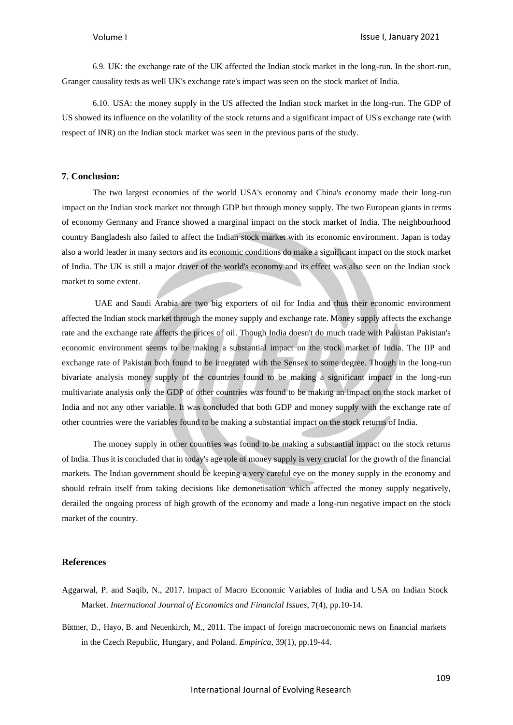6.9. UK: the exchange rate of the UK affected the Indian stock market in the long-run. In the short-run, Granger causality tests as well UK's exchange rate's impact was seen on the stock market of India.

6.10. USA: the money supply in the US affected the Indian stock market in the long-run. The GDP of US showed its influence on the volatility of the stock returns and a significant impact of US's exchange rate (with respect of INR) on the Indian stock market was seen in the previous parts of the study.

# **7. Conclusion:**

The two largest economies of the world USA's economy and China's economy made their long-run impact on the Indian stock market not through GDP but through money supply. The two European giants in terms of economy Germany and France showed a marginal impact on the stock market of India. The neighbourhood country Bangladesh also failed to affect the Indian stock market with its economic environment. Japan is today also a world leader in many sectors and its economic conditions do make a significant impact on the stock market of India. The UK is still a major driver of the world's economy and its effect was also seen on the Indian stock market to some extent.

UAE and Saudi Arabia are two big exporters of oil for India and thus their economic environment affected the Indian stock market through the money supply and exchange rate. Money supply affects the exchange rate and the exchange rate affects the prices of oil. Though India doesn't do much trade with Pakistan Pakistan's economic environment seems to be making a substantial impact on the stock market of India. The IIP and exchange rate of Pakistan both found to be integrated with the Sensex to some degree. Though in the long-run bivariate analysis money supply of the countries found to be making a significant impact in the long-run multivariate analysis only the GDP of other countries was found to be making an impact on the stock market of India and not any other variable. It was concluded that both GDP and money supply with the exchange rate of other countries were the variables found to be making a substantial impact on the stock returns of India.

The money supply in other countries was found to be making a substantial impact on the stock returns of India. Thus it is concluded that in today's age role of money supply is very crucial for the growth of the financial markets. The Indian government should be keeping a very careful eye on the money supply in the economy and should refrain itself from taking decisions like demonetisation which affected the money supply negatively, derailed the ongoing process of high growth of the economy and made a long-run negative impact on the stock market of the country.

### **References**

- Aggarwal, P. and Saqib, N., 2017. Impact of Macro Economic Variables of India and USA on Indian Stock Market. *International Journal of Economics and Financial Issues*, 7(4), pp.10-14.
- Büttner, D., Hayo, B. and Neuenkirch, M., 2011. The impact of foreign macroeconomic news on financial markets in the Czech Republic, Hungary, and Poland. *Empirica*, 39(1), pp.19-44.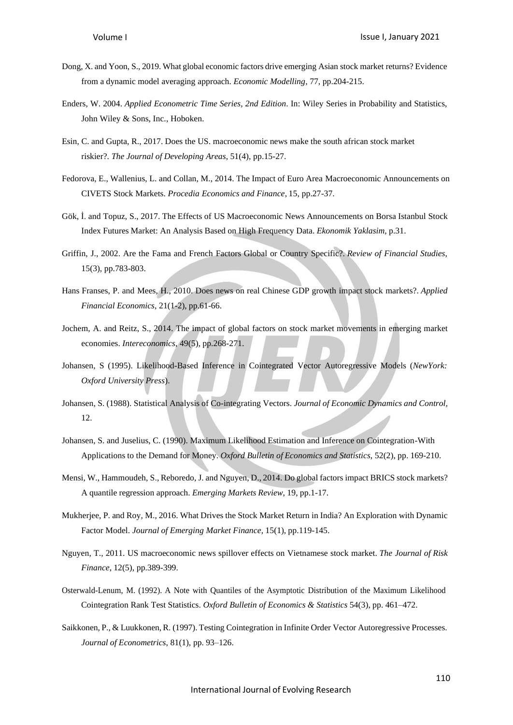- Dong, X. and Yoon, S., 2019. What global economic factors drive emerging Asian stock market returns? Evidence from a dynamic model averaging approach. *Economic Modelling*, 77, pp.204-215.
- Enders, W. 2004. *Applied Econometric Time Series, 2nd Edition*. In: Wiley Series in Probability and Statistics, John Wiley & Sons, Inc., Hoboken.
- Esin, C. and Gupta, R., 2017. Does the US. macroeconomic news make the south african stock market riskier?. *The Journal of Developing Areas*, 51(4), pp.15-27.
- Fedorova, E., Wallenius, L. and Collan, M., 2014. The Impact of Euro Area Macroeconomic Announcements on CIVETS Stock Markets. *Procedia Economics and Finance*, 15, pp.27-37.
- Gök, İ. and Topuz, S., 2017. The Effects of US Macroeconomic News Announcements on Borsa Istanbul Stock Index Futures Market: An Analysis Based on High Frequency Data. *Ekonomik Yaklasim*, p.31.
- Griffin, J., 2002. Are the Fama and French Factors Global or Country Specific?. *Review of Financial Studies*, 15(3), pp.783-803.
- Hans Franses, P. and Mees, H., 2010. Does news on real Chinese GDP growth impact stock markets?. *Applied Financial Economics*, 21(1-2), pp.61-66.
- Jochem, A. and Reitz, S., 2014. The impact of global factors on stock market movements in emerging market economies. *Intereconomics*, 49(5), pp.268-271.
- Johansen, S (1995). Likelihood-Based Inference in Cointegrated Vector Autoregressive Models (*NewYork: Oxford University Press*).
- Johansen, S. (1988). Statistical Analysis of Co-integrating Vectors. *Journal of Economic Dynamics and Control,* 12.
- Johansen, S. and Juselius, C. (1990). Maximum Likelihood Estimation and Inference on Cointegration-With Applications to the Demand for Money. *Oxford Bulletin of Economics and Statistics*, 52(2), pp. 169-210.
- Mensi, W., Hammoudeh, S., Reboredo, J. and Nguyen, D., 2014. Do global factors impact BRICS stock markets? A quantile regression approach. *Emerging Markets Review*, 19, pp.1-17.
- Mukherjee, P. and Roy, M., 2016. What Drives the Stock Market Return in India? An Exploration with Dynamic Factor Model. *Journal of Emerging Market Finance*, 15(1), pp.119-145.
- Nguyen, T., 2011. US macroeconomic news spillover effects on Vietnamese stock market. *The Journal of Risk Finance*, 12(5), pp.389-399.
- Osterwald-Lenum, M. (1992). A Note with Quantiles of the Asymptotic Distribution of the Maximum Likelihood Cointegration Rank Test Statistics. *Oxford Bulletin of Economics & Statistics* 54(3), pp. 461–472.
- Saikkonen, P., & Luukkonen, R. (1997). Testing Cointegration in Infinite Order Vector Autoregressive Processes. *Journal of Econometrics*, 81(1), pp. 93–126.